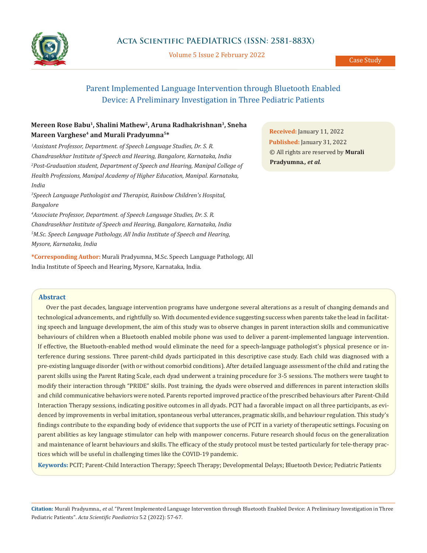

Volume 5 Issue 2 February 2022

# Parent Implemented Language Intervention through Bluetooth Enabled Device: A Preliminary Investigation in Three Pediatric Patients

# **Mereen Rose Babu1, Shalini Mathew2, Aruna Radhakrishnan3, Sneha Mareen Varghese4 and Murali Pradyumna5\***

*1 Assistant Professor, Department. of Speech Language Studies, Dr. S. R. Chandrasekhar Institute of Speech and Hearing, Bangalore, Karnataka, India* <sup>2</sup> Post-Graduation student, Department of Speech and Hearing, Manipal College of *Health Professions, Manipal Academy of Higher Education, Manipal. Karnataka, India*

*3 Speech Language Pathologist and Therapist, Rainbow Children's Hospital, Bangalore*

*4 Associate Professor, Department. of Speech Language Studies, Dr. S. R. Chandrasekhar Institute of Speech and Hearing, Bangalore, Karnataka, India 5 M.Sc. Speech Language Pathology, All India Institute of Speech and Hearing, Mysore, Karnataka, India*

**\*Corresponding Author:** Murali Pradyumna, M.Sc. Speech Language Pathology, All India Institute of Speech and Hearing, Mysore, Karnataka, India.

**Received:** January 11, 2022 **Published:** January 31, 2022 © All rights are reserved by **Murali Pradyumna***., et al.*

# **Abstract**

Over the past decades, language intervention programs have undergone several alterations as a result of changing demands and technological advancements, and rightfully so. With documented evidence suggesting success when parents take the lead in facilitating speech and language development, the aim of this study was to observe changes in parent interaction skills and communicative behaviours of children when a Bluetooth enabled mobile phone was used to deliver a parent-implemented language intervention. If effective, the Bluetooth-enabled method would eliminate the need for a speech-language pathologist's physical presence or interference during sessions. Three parent-child dyads participated in this descriptive case study. Each child was diagnosed with a pre-existing language disorder (with or without comorbid conditions). After detailed language assessment of the child and rating the parent skills using the Parent Rating Scale, each dyad underwent a training procedure for 3-5 sessions. The mothers were taught to modify their interaction through "PRIDE" skills. Post training, the dyads were observed and differences in parent interaction skills and child communicative behaviors were noted. Parents reported improved practice of the prescribed behaviours after Parent-Child Interaction Therapy sessions, indicating positive outcomes in all dyads. PCIT had a favorable impact on all three participants, as evidenced by improvements in verbal imitation, spontaneous verbal utterances, pragmatic skills, and behaviour regulation. This study's findings contribute to the expanding body of evidence that supports the use of PCIT in a variety of therapeutic settings. Focusing on parent abilities as key language stimulator can help with manpower concerns. Future research should focus on the generalization and maintenance of learnt behaviours and skills. The efficacy of the study protocol must be tested particularly for tele-therapy practices which will be useful in challenging times like the COVID-19 pandemic.

**Keywords:** PCIT; Parent-Child Interaction Therapy; Speech Therapy; Developmental Delays; Bluetooth Device; Pediatric Patients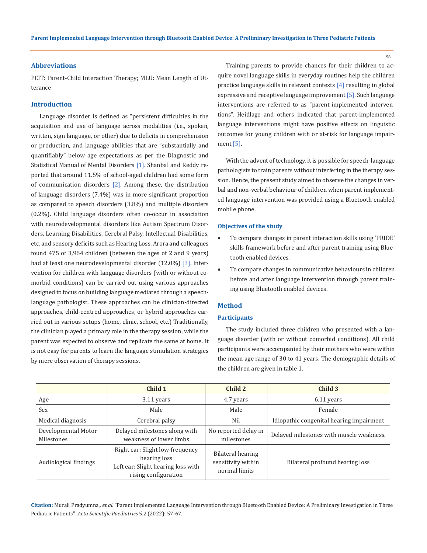# **Abbreviations**

PCIT: Parent-Child Interaction Therapy; MLU: Mean Length of Utterance

# **Introduction**

Language disorder is defined as "persistent difficulties in the acquisition and use of language across modalities (i.e., spoken, written, sign language, or other) due to deficits in comprehension or production, and language abilities that are "substantially and quantifiably" below age expectations as per the Diagnostic and Statistical Manual of Mental Disorders [1]. Shanbal and Reddy reported that around 11.5% of school-aged children had some form of communication disorders [2]. Among these, the distribution of language disorders (7.4%) was in more significant proportion as compared to speech disorders (3.8%) and multiple disorders (0.2%). Child language disorders often co-occur in association with neurodevelopmental disorders like Autism Spectrum Disorders, Learning Disabilities, Cerebral Palsy, Intellectual Disabilities, etc. and sensory deficits such as Hearing Loss. Arora and colleagues found 475 of 3,964 children (between the ages of 2 and 9 years) had at least one neurodevelopmental disorder (12.0%) [3]. Intervention for children with language disorders (with or without comorbid conditions) can be carried out using various approaches designed to focus on building language mediated through a speechlanguage pathologist. These approaches can be clinician-directed approaches, child-centred approaches, or hybrid approaches carried out in various setups (home, clinic, school, etc.) Traditionally, the clinician played a primary role in the therapy session, while the parent was expected to observe and replicate the same at home. It is not easy for parents to learn the language stimulation strategies by mere observation of therapy sessions.

Training parents to provide chances for their children to acquire novel language skills in everyday routines help the children practice language skills in relevant contexts [4] resulting in global expressive and receptive language improvement [5]. Such language interventions are referred to as "parent-implemented interventions". Heidlage and others indicated that parent-implemented language interventions might have positive effects on linguistic outcomes for young children with or at-risk for language impairment [5].

With the advent of technology, it is possible for speech-language pathologists to train parents without interfering in the therapy session. Hence, the present study aimed to observe the changes in verbal and non-verbal behaviour of children when parent implemented language intervention was provided using a Bluetooth enabled mobile phone.

# **Objectives of the study**

- To compare changes in parent interaction skills using 'PRIDE' skills framework before and after parent training using Bluetooth enabled devices.
- To compare changes in communicative behaviours in children before and after language intervention through parent training using Bluetooth enabled devices.

### **Method**

## **Participants**

The study included three children who presented with a language disorder (with or without comorbid conditions). All child participants were accompanied by their mothers who were within the mean age range of 30 to 41 years. The demographic details of the children are given in table 1.

|                                   | Child 1                                                                                                       | Child 2                                                  | Child 3                                  |
|-----------------------------------|---------------------------------------------------------------------------------------------------------------|----------------------------------------------------------|------------------------------------------|
| Age                               | 3.11 years                                                                                                    | 4.7 years                                                | 6.11 years                               |
| Sex                               | Male                                                                                                          | Male                                                     | Female                                   |
| Medical diagnosis                 | Cerebral palsy                                                                                                | Nil                                                      | Idiopathic congenital hearing impairment |
| Developmental Motor<br>Milestones | Delayed milestones along with<br>weakness of lower limbs                                                      | No reported delay in<br>milestones                       | Delayed milestones with muscle weakness. |
| Audiological findings             | Right ear: Slight low-frequency<br>hearing loss<br>Left ear: Slight hearing loss with<br>rising configuration | Bilateral hearing<br>sensitivity within<br>normal limits | Bilateral profound hearing loss          |

**Citation:** Murali Pradyumna*., et al.* "Parent Implemented Language Intervention through Bluetooth Enabled Device: A Preliminary Investigation in Three Pediatric Patients". *Acta Scientific Paediatrics* 5.2 (2022): 57-67.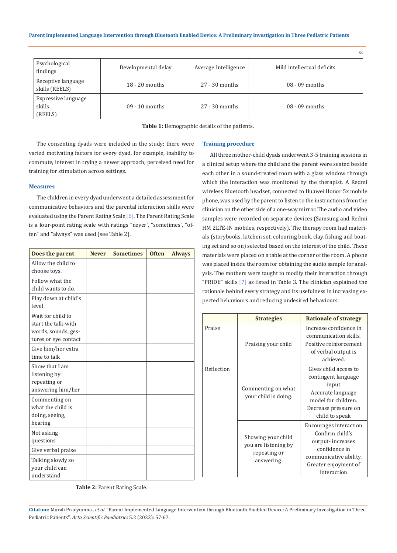|                                          |                     |                      | 59                         |
|------------------------------------------|---------------------|----------------------|----------------------------|
| Psychological<br>findings                | Developmental delay | Average Intelligence | Mild intellectual deficits |
| Receptive language<br>skills (REELS)     | $18 - 20$ months    | $27 - 30$ months     | $08 - 09$ months           |
| Expressive language<br>skills<br>(REELS) | $09 - 10$ months    | $27 - 30$ months     | $08 - 09$ months           |

**Table 1:** Demographic details of the patients.

The consenting dyads were included in the study; there were varied motivating factors for every dyad, for example, inability to commute, interest in trying a newer approach, perceived need for training for stimulation across settings.

### **Measures**

The children in every dyad underwent a detailed assessment for communicative behaviors and the parental interaction skills were evaluated using the Parent Rating Scale [6]. The Parent Rating Scale is a four-point rating scale with ratings "never", "sometimes", "often" and "always" was used (see Table 2).

| Does the parent                                                                         | <b>Never</b> | <b>Sometimes</b> | <b>Often</b> | <b>Always</b> |
|-----------------------------------------------------------------------------------------|--------------|------------------|--------------|---------------|
| Allow the child to<br>choose toys.                                                      |              |                  |              |               |
| Follow what the<br>child wants to do.                                                   |              |                  |              |               |
| Play down at child's<br>level                                                           |              |                  |              |               |
| Wait for child to<br>start the talk-with<br>words, sounds, ges-<br>tures or eye contact |              |                  |              |               |
| Give him/her extra<br>time to talk                                                      |              |                  |              |               |
| Show that I am<br>listening by<br>repeating or<br>answering him/her                     |              |                  |              |               |
| Commenting on<br>what the child is<br>doing, seeing,<br>hearing                         |              |                  |              |               |
| Not asking<br>questions                                                                 |              |                  |              |               |
| Give verbal praise                                                                      |              |                  |              |               |
| Talking slowly so<br>vour child can<br>understand                                       |              |                  |              |               |

#### **Training procedure**

All three mother-child dyads underwent 3-5 training sessions in a clinical setup where the child and the parent were seated beside each other in a sound-treated room with a glass window through which the interaction was monitored by the therapist. A Redmi wireless Bluetooth headset, connected to Huawei Honor 5x mobile phone, was used by the parent to listen to the instructions from the clinician on the other side of a one-way mirror. The audio and video samples were recorded on separate devices (Samsung and Redmi HM 2LTE-IN mobiles, respectively). The therapy room had materials (storybooks, kitchen set, colouring book, clay, fishing and boating set and so on) selected based on the interest of the child. These materials were placed on a table at the corner of the room. A phone was placed inside the room for obtaining the audio sample for analysis. The mothers were taught to modify their interaction through "PRIDE" skills [7] as listed in Table 3. The clinician explained the rationale behind every strategy and its usefulness in increasing expected behaviours and reducing undesired behaviours.

|            | <b>Strategies</b>                                                        | <b>Rationale of strategy</b>                                                                                                                           |
|------------|--------------------------------------------------------------------------|--------------------------------------------------------------------------------------------------------------------------------------------------------|
| Praise     | Praising your child                                                      | Increase confidence in<br>communication skills.<br>Positive reinforcement<br>of verbal output is<br>achieved.                                          |
| Reflection | Commenting on what<br>your child is doing.                               | Gives child access to<br>contingent language<br>input<br>Accurate language<br>model for children.<br>Decrease pressure on<br>child to speak            |
|            | Showing your child<br>you are listening by<br>repeating or<br>answering. | <b>Encourages interaction</b><br>Confirm child's<br>output-increases<br>confidence in<br>communicative ability.<br>Greater enjoyment of<br>interaction |

**Table 2:** Parent Rating Scale.

**Citation:** Murali Pradyumna*., et al.* "Parent Implemented Language Intervention through Bluetooth Enabled Device: A Preliminary Investigation in Three Pediatric Patients". *Acta Scientific Paediatrics* 5.2 (2022): 57-67.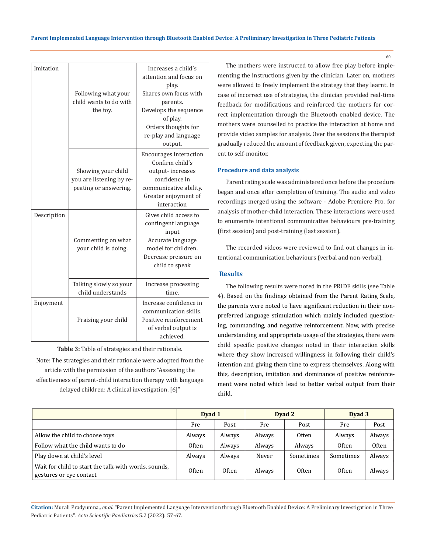| Imitation   | Following what your<br>child wants to do with<br>the toy.               | Increases a child's<br>attention and focus on<br>play.<br>Shares own focus with<br>parents.<br>Develops the sequence<br>of play.<br>Orders thoughts for<br>re-play and language<br>output. |  |  |  |  |
|-------------|-------------------------------------------------------------------------|--------------------------------------------------------------------------------------------------------------------------------------------------------------------------------------------|--|--|--|--|
|             | Showing your child<br>you are listening by re-<br>peating or answering. | <b>Encourages interaction</b><br>Confirm child's<br>output-increases<br>confidence in<br>communicative ability.<br>Greater enjoyment of<br>interaction                                     |  |  |  |  |
| Description | Commenting on what<br>your child is doing.                              | Gives child access to<br>contingent language<br>input<br>Accurate language<br>model for children.<br>Decrease pressure on<br>child to speak                                                |  |  |  |  |
|             | Talking slowly so your<br>child understands                             | Increase processing<br>time.                                                                                                                                                               |  |  |  |  |
| Enjoyment   | Praising your child                                                     | Increase confidence in<br>communication skills.<br>Positive reinforcement<br>of verbal output is<br>achieved.                                                                              |  |  |  |  |

**Table 3:** Table of strategies and their rationale. Note: The strategies and their rationale were adopted from the article with the permission of the authors "Assessing the effectiveness of parent-child interaction therapy with language delayed children: A clinical investigation. [6]"

The mothers were instructed to allow free play before implementing the instructions given by the clinician. Later on, mothers were allowed to freely implement the strategy that they learnt. In case of incorrect use of strategies, the clinician provided real-time feedback for modifications and reinforced the mothers for correct implementation through the Bluetooth enabled device. The mothers were counselled to practice the interaction at home and provide video samples for analysis. Over the sessions the therapist gradually reduced the amount of feedback given, expecting the parent to self-monitor.

# **Procedure and data analysis**

Parent rating scale was administered once before the procedure began and once after completion of training. The audio and video recordings merged using the software - Adobe Premiere Pro. for analysis of mother-child interaction. These interactions were used to enumerate intentional communicative behaviours pre-training (first session) and post-training (last session).

The recorded videos were reviewed to find out changes in intentional communication behaviours (verbal and non-verbal).

## **Results**

The following results were noted in the PRIDE skills (see Table 4). Based on the findings obtained from the Parent Rating Scale, the parents were noted to have significant reduction in their nonpreferred language stimulation which mainly included questioning, commanding, and negative reinforcement. Now, with precise understanding and appropriate usage of the strategies, there were child specific positive changes noted in their interaction skills where they show increased willingness in following their child's intention and giving them time to express themselves. Along with this, description, imitation and dominance of positive reinforcement were noted which lead to better verbal output from their child.

|                                                                                 | Dyad 1       |        |        | Dyad 2       | Dyad 3    |              |
|---------------------------------------------------------------------------------|--------------|--------|--------|--------------|-----------|--------------|
|                                                                                 | Pre          | Post   | Pre    | Post         | Pre       | Post         |
| Allow the child to choose toys                                                  | Always       | Always | Always | <b>Often</b> | Always    | Always       |
| Follow what the child wants to do                                               | 0ften        | Always | Always | Always       | Often     | <b>Often</b> |
| Play down at child's level                                                      | Always       | Always | Never  | Sometimes    | Sometimes | Always       |
| Wait for child to start the talk-with words, sounds,<br>gestures or eye contact | <b>Often</b> | Often  | Always | <b>Often</b> | Often     | Always       |

**Citation:** Murali Pradyumna*., et al.* "Parent Implemented Language Intervention through Bluetooth Enabled Device: A Preliminary Investigation in Three Pediatric Patients". *Acta Scientific Paediatrics* 5.2 (2022): 57-67.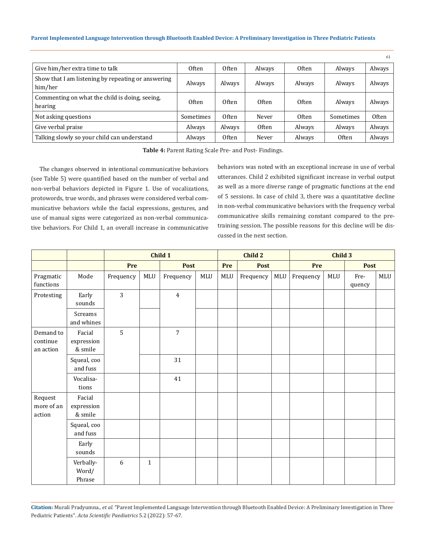#### **Parent Implemented Language Intervention through Bluetooth Enabled Device: A Preliminary Investigation in Three Pediatric Patients**

|                                                               |              |              |              |              |              | 61           |
|---------------------------------------------------------------|--------------|--------------|--------------|--------------|--------------|--------------|
| Give him/her extra time to talk                               | <b>Often</b> | <b>Often</b> | Always       | <b>Often</b> | Always       | Always       |
| Show that I am listening by repeating or answering<br>him/her | Always       | Always       | Always       | Always       | Always       | Always       |
| Commenting on what the child is doing, seeing,<br>hearing     | <b>Often</b> | Often        | <b>Often</b> | Often        | Always       | Always       |
| Not asking questions                                          | Sometimes    | Often        | Never        | Often        | Sometimes    | <b>Often</b> |
| Give verbal praise                                            | Always       | Always       | <b>Often</b> | Always       | Always       | Always       |
| Talking slowly so your child can understand                   | Always       | <b>Often</b> | Never        | Always       | <b>Often</b> | Always       |

**Table 4:** Parent Rating Scale Pre- and Post- Findings.

The changes observed in intentional communicative behaviors (see Table 5) were quantified based on the number of verbal and non-verbal behaviors depicted in Figure 1. Use of vocalizations, protowords, true words, and phrases were considered verbal communicative behaviors while the facial expressions, gestures, and use of manual signs were categorized as non-verbal communicative behaviors. For Child 1, an overall increase in communicative behaviors was noted with an exceptional increase in use of verbal utterances. Child 2 exhibited significant increase in verbal output as well as a more diverse range of pragmatic functions at the end of 5 sessions. In case of child 3, there was a quantitative decline in non-verbal communicative behaviors with the frequency verbal communicative skills remaining constant compared to the pretraining session. The possible reasons for this decline will be discussed in the next section.

|                                    |                                 | Child 1   |              |                |     | Child 2 |             |     | Child 3   |     |                |     |
|------------------------------------|---------------------------------|-----------|--------------|----------------|-----|---------|-------------|-----|-----------|-----|----------------|-----|
|                                    |                                 | Pre       |              | <b>Post</b>    |     | Pre     | <b>Post</b> |     | Pre       |     | Post           |     |
| Pragmatic<br>functions             | Mode                            | Frequency | MLU          | Frequency      | MLU | MLU     | Frequency   | MLU | Frequency | MLU | Fre-<br>quency | MLU |
| Protesting                         | Early<br>sounds                 | 3         |              | $\overline{4}$ |     |         |             |     |           |     |                |     |
|                                    | Screams<br>and whines           |           |              |                |     |         |             |     |           |     |                |     |
| Demand to<br>continue<br>an action | Facial<br>expression<br>& smile | 5         |              | $\overline{7}$ |     |         |             |     |           |     |                |     |
|                                    | Squeal, coo<br>and fuss         |           |              | 31             |     |         |             |     |           |     |                |     |
|                                    | Vocalisa-<br>tions              |           |              | 41             |     |         |             |     |           |     |                |     |
| Request<br>more of an<br>action    | Facial<br>expression<br>& smile |           |              |                |     |         |             |     |           |     |                |     |
|                                    | Squeal, coo<br>and fuss         |           |              |                |     |         |             |     |           |     |                |     |
|                                    | Early<br>sounds                 |           |              |                |     |         |             |     |           |     |                |     |
|                                    | Verbally-<br>Word/<br>Phrase    | 6         | $\mathbf{1}$ |                |     |         |             |     |           |     |                |     |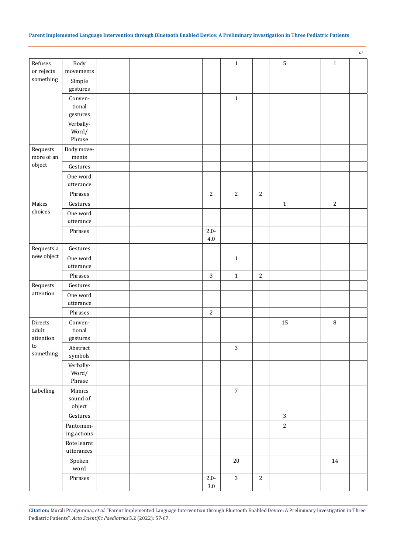|                         |                           |  |  |                |                |                |                |             | 62 |
|-------------------------|---------------------------|--|--|----------------|----------------|----------------|----------------|-------------|----|
| Refuses                 | Body                      |  |  |                | $1\,$          |                | $\overline{5}$ | $\mathbf 1$ |    |
| or rejects<br>something | movements                 |  |  |                |                |                |                |             |    |
|                         | Simple<br>gestures        |  |  |                |                |                |                |             |    |
|                         | Conven-                   |  |  |                | $\mathbf 1$    |                |                |             |    |
|                         | tional                    |  |  |                |                |                |                |             |    |
|                         | gestures                  |  |  |                |                |                |                |             |    |
|                         | Verbally-                 |  |  |                |                |                |                |             |    |
|                         | Word/<br>Phrase           |  |  |                |                |                |                |             |    |
| Requests                | Body move-                |  |  |                |                |                |                |             |    |
| more of an              | ments                     |  |  |                |                |                |                |             |    |
| object                  | Gestures                  |  |  |                |                |                |                |             |    |
|                         | One word                  |  |  |                |                |                |                |             |    |
|                         | utterance                 |  |  |                |                |                |                |             |    |
|                         | Phrases                   |  |  | $\overline{2}$ | $\overline{2}$ | $\overline{2}$ |                |             |    |
| Makes                   | Gestures                  |  |  |                |                |                | $\mathbf 1$    | $\sqrt{2}$  |    |
| choices                 | One word                  |  |  |                |                |                |                |             |    |
|                         | utterance                 |  |  |                |                |                |                |             |    |
|                         | Phrases                   |  |  | $2.0 -$        |                |                |                |             |    |
|                         |                           |  |  | $4.0\,$        |                |                |                |             |    |
| Requests a              | Gestures                  |  |  |                |                |                |                |             |    |
| new object              | One word                  |  |  |                | $1\,$          |                |                |             |    |
|                         | utterance                 |  |  |                |                |                |                |             |    |
|                         | Phrases                   |  |  | $\mathbf{3}$   | $1\,$          | $\sqrt{2}$     |                |             |    |
| Requests                | Gestures                  |  |  |                |                |                |                |             |    |
| attention               | One word                  |  |  |                |                |                |                |             |    |
|                         | utterance                 |  |  |                |                |                |                |             |    |
|                         | Phrases                   |  |  | $\sqrt{2}$     |                |                |                |             |    |
| Directs                 | Conven-                   |  |  |                |                |                | 15             | $\, 8$      |    |
| adult<br>attention      | tional<br>gestures        |  |  |                |                |                |                |             |    |
| ${\sf to}$              | Abstract                  |  |  |                | $\sqrt{3}$     |                |                |             |    |
| something               | symbols                   |  |  |                |                |                |                |             |    |
|                         | Verbally-                 |  |  |                |                |                |                |             |    |
|                         | Word/                     |  |  |                |                |                |                |             |    |
|                         | Phrase                    |  |  |                |                |                |                |             |    |
| Labelling               | Mimics                    |  |  |                | $\sqrt{7}$     |                |                |             |    |
|                         | sound of                  |  |  |                |                |                |                |             |    |
|                         | object                    |  |  |                |                |                |                |             |    |
|                         | Gestures                  |  |  |                |                |                | $\mathbf{3}$   |             |    |
|                         | Pantomim-                 |  |  |                |                |                | $\overline{c}$ |             |    |
|                         | ing actions               |  |  |                |                |                |                |             |    |
|                         | Rote learnt<br>utterances |  |  |                |                |                |                |             |    |
|                         | Spoken                    |  |  |                | $20\,$         |                |                | $14\,$      |    |
|                         | word                      |  |  |                |                |                |                |             |    |
|                         | Phrases                   |  |  | $2.0 -$        | $\mathbf{3}$   | $\overline{c}$ |                |             |    |
|                         |                           |  |  | $3.0\,$        |                |                |                |             |    |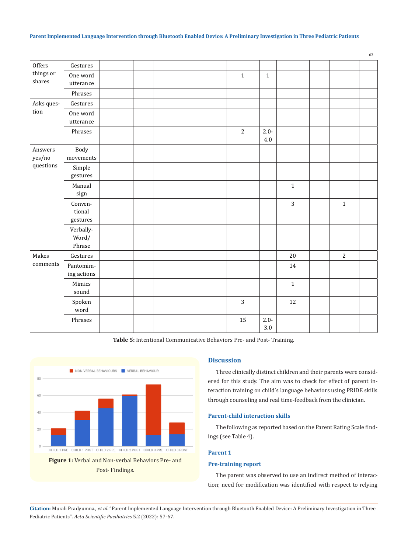### **Parent Implemented Language Intervention through Bluetooth Enabled Device: A Preliminary Investigation in Three Pediatric Patients**

|                     |                               |  |  |                |                    |                |                | 63 |
|---------------------|-------------------------------|--|--|----------------|--------------------|----------------|----------------|----|
| Offers              | Gestures                      |  |  |                |                    |                |                |    |
| things or<br>shares | One word                      |  |  | $\mathbf{1}$   | $\mathbf{1}$       |                |                |    |
|                     | utterance                     |  |  |                |                    |                |                |    |
|                     | Phrases                       |  |  |                |                    |                |                |    |
| Asks ques-          | Gestures                      |  |  |                |                    |                |                |    |
| tion                | One word<br>utterance         |  |  |                |                    |                |                |    |
|                     | Phrases                       |  |  | $\overline{2}$ | $2.0 -$<br>$4.0\,$ |                |                |    |
| Answers<br>yes/no   | Body<br>movements             |  |  |                |                    |                |                |    |
| questions           | $\mbox{Simple}$<br>gestures   |  |  |                |                    |                |                |    |
|                     | Manual<br>sign                |  |  |                |                    | $\mathbf 1$    |                |    |
|                     | Conven-<br>tional<br>gestures |  |  |                |                    | $\overline{3}$ | $\mathbf{1}$   |    |
|                     | Verbally-<br>Word/<br>Phrase  |  |  |                |                    |                |                |    |
| Makes               | Gestures                      |  |  |                |                    | $20\,$         | $\overline{2}$ |    |
| comments            | Pantomim-<br>ing actions      |  |  |                |                    | 14             |                |    |
|                     | Mimics<br>sound               |  |  |                |                    | $\mathbf{1}$   |                |    |
|                     | Spoken<br>word                |  |  | 3              |                    | 12             |                |    |
|                     | Phrases                       |  |  | 15             | $2.0 -$<br>3.0     |                |                |    |

**Table 5:** Intentional Communicative Behaviors Pre- and Post- Training.



# **Discussion**

Three clinically distinct children and their parents were considered for this study. The aim was to check for effect of parent interaction training on child's language behaviors using PRIDE skills through counseling and real time-feedback from the clinician.

# **Parent-child interaction skills**

The following as reported based on the Parent Rating Scale findings (see Table 4).

# **Parent 1**

# **Pre-training report**

The parent was observed to use an indirect method of interaction; need for modification was identified with respect to relying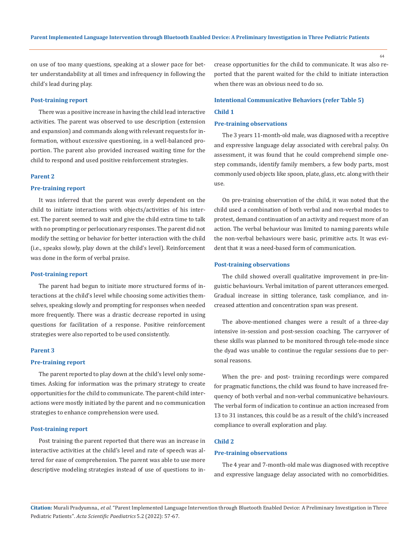on use of too many questions, speaking at a slower pace for better understandability at all times and infrequency in following the child's lead during play.

#### **Post-training report**

There was a positive increase in having the child lead interactive activities. The parent was observed to use description (extension and expansion) and commands along with relevant requests for information, without excessive questioning, in a well-balanced proportion. The parent also provided increased waiting time for the child to respond and used positive reinforcement strategies.

# **Parent 2**

#### **Pre-training report**

It was inferred that the parent was overly dependent on the child to initiate interactions with objects/activities of his interest. The parent seemed to wait and give the child extra time to talk with no prompting or perlocutionary responses. The parent did not modify the setting or behavior for better interaction with the child (i.e., speaks slowly, play down at the child's level). Reinforcement was done in the form of verbal praise.

#### **Post-training report**

The parent had begun to initiate more structured forms of interactions at the child's level while choosing some activities themselves, speaking slowly and prompting for responses when needed more frequently. There was a drastic decrease reported in using questions for facilitation of a response. Positive reinforcement strategies were also reported to be used consistently.

#### **Parent 3**

# **Pre-training report**

The parent reported to play down at the child's level only sometimes. Asking for information was the primary strategy to create opportunities for the child to communicate. The parent-child interactions were mostly initiated by the parent and no communication strategies to enhance comprehension were used.

#### **Post-training report**

Post training the parent reported that there was an increase in interactive activities at the child's level and rate of speech was altered for ease of comprehension. The parent was able to use more descriptive modeling strategies instead of use of questions to increase opportunities for the child to communicate. It was also reported that the parent waited for the child to initiate interaction when there was an obvious need to do so.

# **Intentional Communicative Behaviors (refer Table 5) Child 1**

# **Pre-training observations**

The 3 years 11-month-old male, was diagnosed with a receptive and expressive language delay associated with cerebral palsy. On assessment, it was found that he could comprehend simple onestep commands, identify family members, a few body parts, most commonly used objects like spoon, plate, glass, etc. along with their use.

On pre-training observation of the child, it was noted that the child used a combination of both verbal and non-verbal modes to protest, demand continuation of an activity and request more of an action. The verbal behaviour was limited to naming parents while the non-verbal behaviours were basic, primitive acts. It was evident that it was a need-based form of communication.

### **Post-training observations**

The child showed overall qualitative improvement in pre-linguistic behaviours. Verbal imitation of parent utterances emerged. Gradual increase in sitting tolerance, task compliance, and increased attention and concentration span was present.

The above-mentioned changes were a result of a three-day intensive in-session and post-session coaching. The carryover of these skills was planned to be monitored through tele-mode since the dyad was unable to continue the regular sessions due to personal reasons.

When the pre- and post- training recordings were compared for pragmatic functions, the child was found to have increased frequency of both verbal and non-verbal communicative behaviours. The verbal form of indication to continue an action increased from 13 to 31 instances, this could be as a result of the child's increased compliance to overall exploration and play.

#### **Child 2**

# **Pre-training observations**

The 4 year and 7-month-old male was diagnosed with receptive and expressive language delay associated with no comorbidities.

**Citation:** Murali Pradyumna*., et al.* "Parent Implemented Language Intervention through Bluetooth Enabled Device: A Preliminary Investigation in Three Pediatric Patients". *Acta Scientific Paediatrics* 5.2 (2022): 57-67.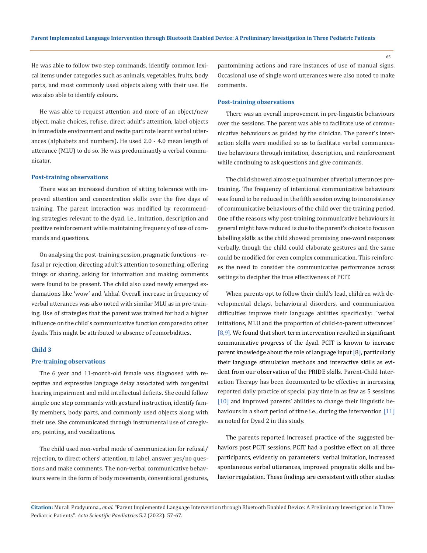He was able to follow two step commands, identify common lexical items under categories such as animals, vegetables, fruits, body parts, and most commonly used objects along with their use. He was also able to identify colours.

He was able to request attention and more of an object/new object, make choices, refuse, direct adult's attention, label objects in immediate environment and recite part rote learnt verbal utterances (alphabets and numbers). He used 2.0 - 4.0 mean length of utterance (MLU) to do so. He was predominantly a verbal communicator.

### **Post-training observations**

There was an increased duration of sitting tolerance with improved attention and concentration skills over the five days of training. The parent interaction was modified by recommending strategies relevant to the dyad, i.e., imitation, description and positive reinforcement while maintaining frequency of use of commands and questions.

On analysing the post-training session, pragmatic functions - refusal or rejection, directing adult's attention to something, offering things or sharing, asking for information and making comments were found to be present. The child also used newly emerged exclamations like 'wow' and 'ahha'. Overall increase in frequency of verbal utterances was also noted with similar MLU as in pre-training. Use of strategies that the parent was trained for had a higher influence on the child's communicative function compared to other dyads. This might be attributed to absence of comorbidities.

#### **Child 3**

## **Pre-training observations**

The 6 year and 11-month-old female was diagnosed with receptive and expressive language delay associated with congenital hearing impairment and mild intellectual deficits. She could follow simple one step commands with gestural instruction, identify family members, body parts, and commonly used objects along with their use. She communicated through instrumental use of caregivers, pointing, and vocalizations.

The child used non-verbal mode of communication for refusal/ rejection, to direct others' attention, to label, answer yes/no questions and make comments. The non-verbal communicative behaviours were in the form of body movements, conventional gestures, pantomiming actions and rare instances of use of manual signs. Occasional use of single word utterances were also noted to make comments.

#### **Post-training observations**

There was an overall improvement in pre-linguistic behaviours over the sessions. The parent was able to facilitate use of communicative behaviours as guided by the clinician. The parent's interaction skills were modified so as to facilitate verbal communicative behaviours through imitation, description, and reinforcement while continuing to ask questions and give commands.

The child showed almost equal number of verbal utterances pretraining. The frequency of intentional communicative behaviours was found to be reduced in the fifth session owing to inconsistency of communicative behaviours of the child over the training period. One of the reasons why post-training communicative behaviours in general might have reduced is due to the parent's choice to focus on labelling skills as the child showed promising one-word responses verbally, though the child could elaborate gestures and the same could be modified for even complex communication. This reinforces the need to consider the communicative performance across settings to decipher the true effectiveness of PCIT.

When parents opt to follow their child's lead, children with developmental delays, behavioural disorders, and communication difficulties improve their language abilities specifically: "verbal initiations, MLU and the proportion of child-to-parent utterances"  $[8,9]$ . We found that short term intervention resulted in significant communicative progress of the dyad. PCIT is known to increase parent knowledge about the role of language input [8], particularly their language stimulation methods and interactive skills as evident from our observation of the PRIDE skills. Parent-Child Interaction Therapy has been documented to be effective in increasing reported daily practice of special play time in as few as 5 sessions [10] and improved parents' abilities to change their linguistic behaviours in a short period of time i.e., during the intervention [11] as noted for Dyad 2 in this study.

The parents reported increased practice of the suggested behaviors post PCIT sessions. PCIT had a positive effect on all three participants, evidently on parameters: verbal imitation, increased spontaneous verbal utterances, improved pragmatic skills and behavior regulation. These findings are consistent with other studies

**Citation:** Murali Pradyumna*., et al.* "Parent Implemented Language Intervention through Bluetooth Enabled Device: A Preliminary Investigation in Three Pediatric Patients". *Acta Scientific Paediatrics* 5.2 (2022): 57-67.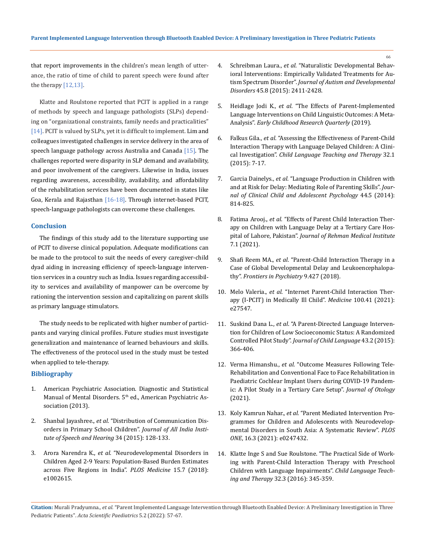that report improvements in the children's mean length of utterance, the ratio of time of child to parent speech were found after the therapy  $[12,13]$ .

Klatte and Roulstone reported that PCIT is applied in a range of methods by speech and language pathologists (SLPs) depending on "organizational constraints, family needs and practicalities" [14]. PCIT is valued by SLPs, yet it is difficult to implement. Lim and colleagues investigated challenges in service delivery in the area of speech language pathology across Australia and Canada  $[15]$ . The challenges reported were disparity in SLP demand and availability, and poor involvement of the caregivers. Likewise in India, issues regarding awareness, accessibility, availability, and affordability of the rehabilitation services have been documented in states like Goa, Kerala and Rajasthan [16-18]. Through internet-based PCIT, speech-language pathologists can overcome these challenges.

# **Conclusion**

The findings of this study add to the literature supporting use of PCIT to diverse clinical population. Adequate modifications can be made to the protocol to suit the needs of every caregiver-child dyad aiding in increasing efficiency of speech-language intervention services in a country such as India. Issues regarding accessibility to services and availability of manpower can be overcome by rationing the intervention session and capitalizing on parent skills as primary language stimulators.

The study needs to be replicated with higher number of participants and varying clinical profiles. Future studies must investigate generalization and maintenance of learned behaviours and skills. The effectiveness of the protocol used in the study must be tested when applied to tele-therapy.

# **Bibliography**

- 1. [American Psychiatric Association.](https://www.psychiatry.org/psychiatrists/practice/dsm) Diagnostic and Statistical Manual of Mental Disorders. 5<sup>th</sup> ed., American Psychiatric As[sociation \(2013\).](https://www.psychiatry.org/psychiatrists/practice/dsm)
- 2. Shanbal Jayashree., *et al*[. "Distribution of Communication Dis](https://www.researchgate.net/publication/317721542_Distribution_of_Communication_Disorders_in_Primary_School_Children)[orders in Primary School Children".](https://www.researchgate.net/publication/317721542_Distribution_of_Communication_Disorders_in_Primary_School_Children) *Journal of All India Insti[tute of Speech and Hearing](https://www.researchgate.net/publication/317721542_Distribution_of_Communication_Disorders_in_Primary_School_Children)* 34 (2015): 128-133.
- 3. Arora Narendra K., *et al*[. "Neurodevelopmental Disorders in](https://pubmed.ncbi.nlm.nih.gov/30040859/)  [Children Aged 2-9 Years: Population-Based Burden Estimates](https://pubmed.ncbi.nlm.nih.gov/30040859/)  [across Five Regions in India".](https://pubmed.ncbi.nlm.nih.gov/30040859/) *PLOS Medicine* 15.7 (2018): [e1002615.](https://pubmed.ncbi.nlm.nih.gov/30040859/)
- 4. Schreibman Laura., *et al*[. "Naturalistic Developmental Behav](https://link.springer.com/article/10.1007%2Fs10803-015-2407-8)[ioral Interventions: Empirically Validated Treatments for Au](https://link.springer.com/article/10.1007%2Fs10803-015-2407-8)tism Spectrum Disorder". *[Journal of Autism and Developmental](https://link.springer.com/article/10.1007%2Fs10803-015-2407-8)  Disorders* [45.8 \(2015\): 2411-2428.](https://link.springer.com/article/10.1007%2Fs10803-015-2407-8)
- 5. Heidlage Jodi K., *et al*[. "The Effects of Parent-Implemented](https://www.sciencedirect.com/science/article/abs/pii/S0885200618301546?via%3Dihub)  [Language Interventions on Child Linguistic Outcomes: A Meta-](https://www.sciencedirect.com/science/article/abs/pii/S0885200618301546?via%3Dihub)Analysis". *[Early Childhood Research Quarterly](https://www.sciencedirect.com/science/article/abs/pii/S0885200618301546?via%3Dihub)* (2019).
- 6. Falkus Gila., *et al*[. "Assessing the Effectiveness of Parent-Child](https://journals.sagepub.com/doi/10.1177/0265659015574918)  [Interaction Therapy with Language Delayed Children: A Clini](https://journals.sagepub.com/doi/10.1177/0265659015574918)cal Investigation". *[Child Language Teaching and Therapy](https://journals.sagepub.com/doi/10.1177/0265659015574918)* 32.1 [\(2015\): 7-17.](https://journals.sagepub.com/doi/10.1177/0265659015574918)
- 7. Garcia Dainelys., *et al*[. "Language Production in Children with](https://www.tandfonline.com/doi/full/10.1080/15374416.2014.900718)  [and at Risk for Delay: Mediating Role of Parenting Skills".](https://www.tandfonline.com/doi/full/10.1080/15374416.2014.900718) *Jour[nal of Clinical Child and Adolescent Psychology](https://www.tandfonline.com/doi/full/10.1080/15374416.2014.900718)* 44.5 (2014): [814-825.](https://www.tandfonline.com/doi/full/10.1080/15374416.2014.900718)
- 8. Fatima Arooj., *et al*[. "Effects of Parent Child Interaction Ther](http://jrmi.pk/article/view/288)[apy on Children with Language Delay at a Tertiary Care Hos](http://jrmi.pk/article/view/288)pital of Lahore, Pakistan". *[Journal of Rehman Medical Institute](http://jrmi.pk/article/view/288)* [7.1 \(2021\).](http://jrmi.pk/article/view/288)
- 9. Shafi Reem MA., *et al*[. "Parent-Child Interaction Therapy in a](https://www.frontiersin.org/articles/10.3389/fpsyt.2018.00427/full)  [Case of Global Developmental Delay and Leukoencephalopa](https://www.frontiersin.org/articles/10.3389/fpsyt.2018.00427/full)thy". *[Frontiers in Psychiatry](https://www.frontiersin.org/articles/10.3389/fpsyt.2018.00427/full)* 9.427 (2018).
- 10. Melo Valeria., *et al*[. "Internet Parent-Child Interaction Ther](https://journals.lww.com/md-journal/Fulltext/2021/10150/Internet_parent_child_interaction_therapy__I_PCIT_.57.aspx)[apy \(I-PCIT\) in Medically Ill Child".](https://journals.lww.com/md-journal/Fulltext/2021/10150/Internet_parent_child_interaction_therapy__I_PCIT_.57.aspx) *Medicine* 100.41 (2021): [e27547.](https://journals.lww.com/md-journal/Fulltext/2021/10150/Internet_parent_child_interaction_therapy__I_PCIT_.57.aspx)
- 11. Suskind Dana L., *et al*[. "A Parent-Directed Language Interven](https://www.cambridge.org/core/journals/journal-of-child-language/article/abs/parentdirected-language-intervention-for-children-of-low-socioeconomic-status-a-randomized-controlled-pilot-study/C6707146A62899FA2834C85D77997418)[tion for Children of Low Socioeconomic Status: A Randomized](https://www.cambridge.org/core/journals/journal-of-child-language/article/abs/parentdirected-language-intervention-for-children-of-low-socioeconomic-status-a-randomized-controlled-pilot-study/C6707146A62899FA2834C85D77997418)  Controlled Pilot Study". *[Journal of Child Language](https://www.cambridge.org/core/journals/journal-of-child-language/article/abs/parentdirected-language-intervention-for-children-of-low-socioeconomic-status-a-randomized-controlled-pilot-study/C6707146A62899FA2834C85D77997418)* 43.2 (2015): [366-406.](https://www.cambridge.org/core/journals/journal-of-child-language/article/abs/parentdirected-language-intervention-for-children-of-low-socioeconomic-status-a-randomized-controlled-pilot-study/C6707146A62899FA2834C85D77997418)
- 12. Verma Himanshu., *et al*[. "Outcome Measures Following Tele-](https://www.sciencedirect.com/science/article/pii/S1672293021000581?via%3Dihub)[Rehabilitation and Conventional Face to Face Rehabilitation in](https://www.sciencedirect.com/science/article/pii/S1672293021000581?via%3Dihub)  [Paediatric Cochlear Implant Users during COVID-19 Pandem](https://www.sciencedirect.com/science/article/pii/S1672293021000581?via%3Dihub)[ic: A Pilot Study in a Tertiary Care Setup".](https://www.sciencedirect.com/science/article/pii/S1672293021000581?via%3Dihub) *Journal of Otology*  [\(2021\).](https://www.sciencedirect.com/science/article/pii/S1672293021000581?via%3Dihub)
- 13. Koly Kamrun Nahar., *et al*[. "Parent Mediated Intervention Pro](https://journals.plos.org/plosone/article?id=10.1371/journal.pone.0247432)[grammes for Children and Adolescents with Neurodevelop](https://journals.plos.org/plosone/article?id=10.1371/journal.pone.0247432)[mental Disorders in South Asia: A Systematic Review".](https://journals.plos.org/plosone/article?id=10.1371/journal.pone.0247432) *PLOS ONE*[, 16.3 \(2021\): e0247432.](https://journals.plos.org/plosone/article?id=10.1371/journal.pone.0247432)
- 14. [Klatte Inge S and Sue Roulstone. "The Practical Side of Work](https://journals.sagepub.com/doi/10.1177/0265659016641999)[ing with Parent-Child Interaction Therapy with Preschool](https://journals.sagepub.com/doi/10.1177/0265659016641999)  [Children with Language Impairments".](https://journals.sagepub.com/doi/10.1177/0265659016641999) *Child Language Teaching and Therapy* [32.3 \(2016\): 345-359.](https://journals.sagepub.com/doi/10.1177/0265659016641999)

**Citation:** Murali Pradyumna*., et al.* "Parent Implemented Language Intervention through Bluetooth Enabled Device: A Preliminary Investigation in Three Pediatric Patients". *Acta Scientific Paediatrics* 5.2 (2022): 57-67.